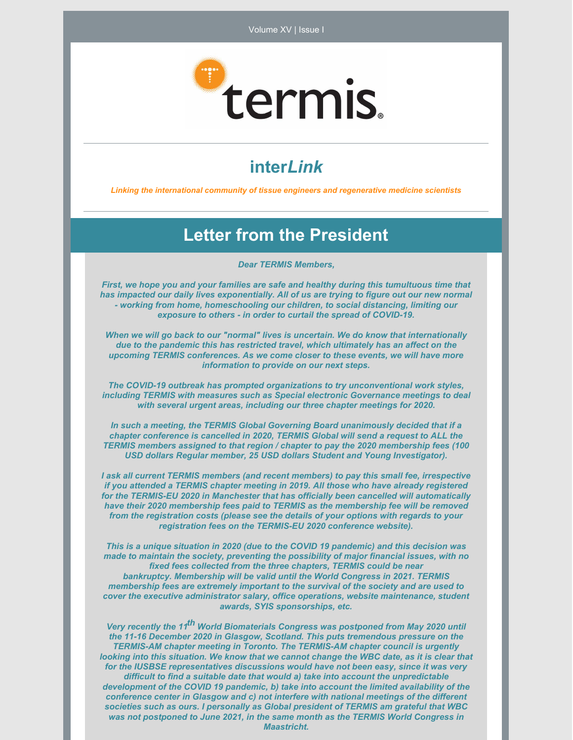

### **inter***Link*

*Linking the international community of tissue engineers and regenerative medicine scientists*

#### **Letter from the President**

*Dear TERMIS Members,*

*First, we hope you and your families are safe and healthy during this tumultuous time that has impacted our daily lives exponentially. All of us are trying to figure out our new normal - working from home, homeschooling our children, to social distancing, limiting our exposure to others - in order to curtail the spread of COVID-19.*

*When we will go back to our "normal" lives is uncertain. We do know that internationally due to the pandemic this has restricted travel, which ultimately has an affect on the upcoming TERMIS conferences. As we come closer to these events, we will have more information to provide on our next steps.*

*The COVID-19 outbreak has prompted organizations to try unconventional work styles, including TERMIS with measures such as Special electronic Governance meetings to deal with several urgent areas, including our three chapter meetings for 2020.*

*In such a meeting, the TERMIS Global Governing Board unanimously decided that if a chapter conference is cancelled in 2020, TERMIS Global will send a request to ALL the TERMIS members assigned to that region / chapter to pay the 2020 membership fees (100 USD dollars Regular member, 25 USD dollars Student and Young Investigator).*

*I ask all current TERMIS members (and recent members) to pay this small fee, irrespective if you attended a TERMIS chapter meeting in 2019. All those who have already registered for the TERMIS-EU 2020 in Manchester that has officially been cancelled will automatically have their 2020 membership fees paid to TERMIS as the membership fee will be removed from the registration costs (please see the details of your options with regards to your registration fees on the TERMIS-EU 2020 conference website).*

*This is a unique situation in 2020 (due to the COVID 19 pandemic) and this decision was made to maintain the society, preventing the possibility of major financial issues, with no fixed fees collected from the three chapters, TERMIS could be near bankruptcy. Membership will be valid until the World Congress in 2021. TERMIS membership fees are extremely important to the survival of the society and are used to cover the executive administrator salary, office operations, website maintenance, student awards, SYIS sponsorships, etc.*

*Very recently the 11 th World Biomaterials Congress was postponed from May 2020 until the 11-16 December 2020 in Glasgow, Scotland. This puts tremendous pressure on the TERMIS-AM chapter meeting in Toronto. The TERMIS-AM chapter council is urgently looking into this situation. We know that we cannot change the WBC date, as it is clear that for the IUSBSE representatives discussions would have not been easy, since it was very difficult to find a suitable date that would a) take into account the unpredictable development of the COVID 19 pandemic, b) take into account the limited availability of the conference center in Glasgow and c) not interfere with national meetings of the different societies such as ours. I personally as Global president of TERMIS am grateful that WBC was not postponed to June 2021, in the same month as the TERMIS World Congress in Maastricht.*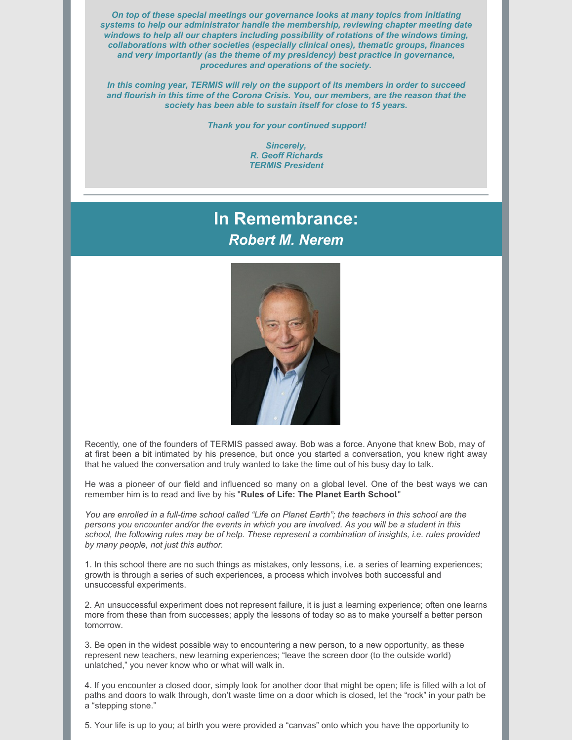*On top of these special meetings our governance looks at many topics from initiating systems to help our administrator handle the membership, reviewing chapter meeting date windows to help all our chapters including possibility of rotations of the windows timing, collaborations with other societies (especially clinical ones), thematic groups, finances and very importantly (as the theme of my presidency) best practice in governance, procedures and operations of the society.*

*In this coming year, TERMIS will rely on the support of its members in order to succeed and flourish in this time of the Corona Crisis. You, our members, are the reason that the society has been able to sustain itself for close to 15 years.*

*Thank you for your continued support!*

*Sincerely, R. Geoff Richards TERMIS President*

### **In Remembrance:** *Robert M. Nerem*



Recently, one of the founders of TERMIS passed away. Bob was a force. Anyone that knew Bob, may of at first been a bit intimated by his presence, but once you started a conversation, you knew right away that he valued the conversation and truly wanted to take the time out of his busy day to talk.

He was a pioneer of our field and influenced so many on a global level. One of the best ways we can remember him is to read and live by his "**Rules of Life: The Planet Earth School**."

You are enrolled in a full-time school called "Life on Planet Earth"; the teachers in this school are the persons you encounter and/or the events in which you are involved. As you will be a student in this school, the following rules may be of help. These represent a combination of insights, i.e. rules provided *by many people, not just this author.*

1. In this school there are no such things as mistakes, only lessons, i.e. a series of learning experiences; growth is through a series of such experiences, a process which involves both successful and unsuccessful experiments.

2. An unsuccessful experiment does not represent failure, it is just a learning experience; often one learns more from these than from successes; apply the lessons of today so as to make yourself a better person tomorrow.

3. Be open in the widest possible way to encountering a new person, to a new opportunity, as these represent new teachers, new learning experiences; "leave the screen door (to the outside world) unlatched," you never know who or what will walk in.

4. If you encounter a closed door, simply look for another door that might be open; life is filled with a lot of paths and doors to walk through, don't waste time on a door which is closed, let the "rock" in your path be a "stepping stone."

5. Your life is up to you; at birth you were provided a "canvas" onto which you have the opportunity to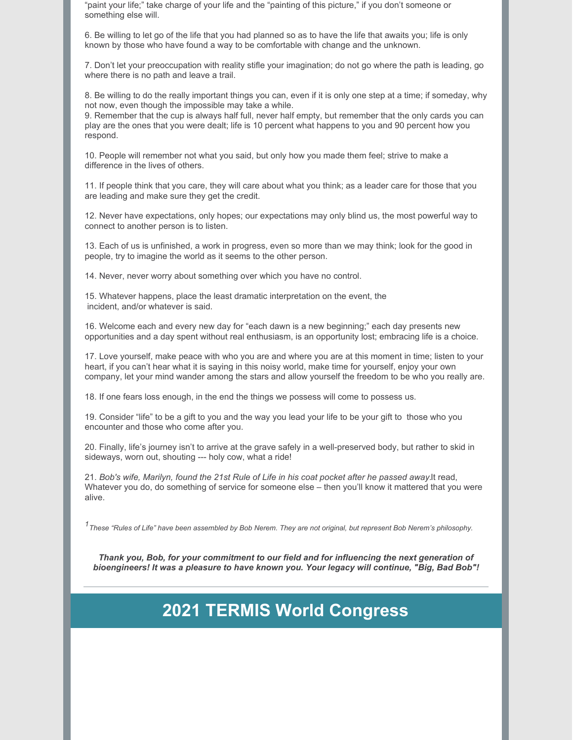"paint your life;" take charge of your life and the "painting of this picture," if you don't someone or something else will.

6. Be willing to let go of the life that you had planned so as to have the life that awaits you; life is only known by those who have found a way to be comfortable with change and the unknown.

7. Don't let your preoccupation with reality stifle your imagination; do not go where the path is leading, go where there is no path and leave a trail.

8. Be willing to do the really important things you can, even if it is only one step at a time; if someday, why not now, even though the impossible may take a while.

9. Remember that the cup is always half full, never half empty, but remember that the only cards you can play are the ones that you were dealt; life is 10 percent what happens to you and 90 percent how you respond.

10. People will remember not what you said, but only how you made them feel; strive to make a difference in the lives of others.

11. If people think that you care, they will care about what you think; as a leader care for those that you are leading and make sure they get the credit.

12. Never have expectations, only hopes; our expectations may only blind us, the most powerful way to connect to another person is to listen.

13. Each of us is unfinished, a work in progress, even so more than we may think; look for the good in people, try to imagine the world as it seems to the other person.

14. Never, never worry about something over which you have no control.

15. Whatever happens, place the least dramatic interpretation on the event, the incident, and/or whatever is said.

16. Welcome each and every new day for "each dawn is a new beginning;" each day presents new opportunities and a day spent without real enthusiasm, is an opportunity lost; embracing life is a choice.

17. Love yourself, make peace with who you are and where you are at this moment in time; listen to your heart, if you can't hear what it is saying in this noisy world, make time for yourself, enjoy your own company, let your mind wander among the stars and allow yourself the freedom to be who you really are.

18. If one fears loss enough, in the end the things we possess will come to possess us.

19. Consider "life" to be a gift to you and the way you lead your life to be your gift to those who you encounter and those who come after you.

20. Finally, life's journey isn't to arrive at the grave safely in a well-preserved body, but rather to skid in sideways, worn out, shouting --- holy cow, what a ride!

21. *Bob's wife, Marilyn, found the 21st Rule of Life in his coat pocket after he passed away.*It read, Whatever you do, do something of service for someone else – then you'll know it mattered that you were alive.

<sup>1</sup> These "Rules of Life" have been assembled by Bob Nerem. They are not original, but represent Bob Nerem's philosophy.

*Thank you, Bob, for your commitment to our field and for influencing the next generation of bioengineers! It was a pleasure to have known you. Your legacy will continue, "Big, Bad Bob"!*

## **2021 TERMIS World Congress**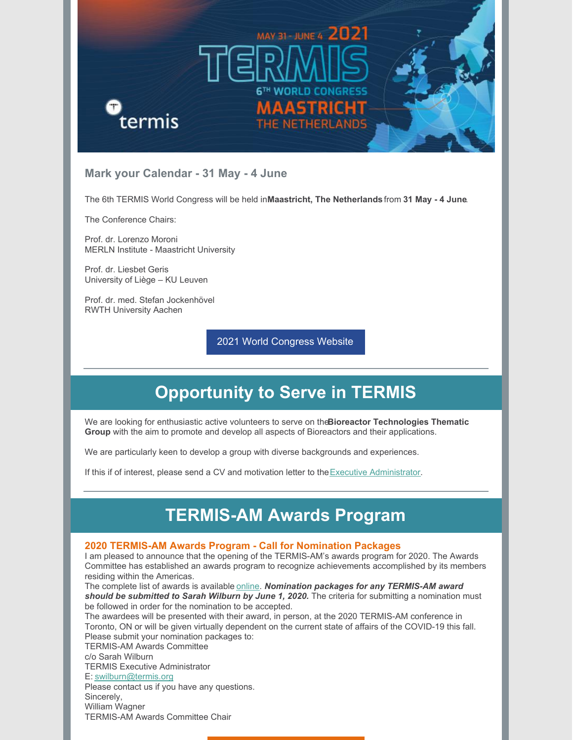

#### **Mark your Calendar - 31 May - 4 June**

The 6th TERMIS World Congress will be held in**Maastricht, The Netherlands** from **31 May - 4 June**.

The Conference Chairs:

Prof. dr. Lorenzo Moroni MERLN Institute - Maastricht University

Prof. dr. Liesbet Geris University of Liège – KU Leuven

Prof. dr. med. Stefan Jockenhövel RWTH University Aachen

2021 World [Congress](https://www.termis.org/WC2021) Website

# **Opportunity to Serve in TERMIS**

We are looking for enthusiastic active volunteers to serve on the**Bioreactor Technologies Thematic Group** with the aim to promote and develop all aspects of Bioreactors and their applications.

We are particularly keen to develop a group with diverse backgrounds and experiences.

If this if of interest, please send a CV and motivation letter to the  $Executive$  [Administrator](mailto:swilburn@termis.org).

### **TERMIS-AM Awards Program**

#### **2020 TERMIS-AM Awards Program - Call for Nomination Packages**

I am pleased to announce that the opening of the TERMIS-AM's awards program for 2020. The Awards Committee has established an awards program to recognize achievements accomplished by its members residing within the Americas.

The complete list of awards is available [online](https://termis.org/chapters-americas-committees-awards-program). *Nomination packages for any TERMIS-AM award should be submitted to Sarah Wilburn by June 1, 2020.* The criteria for submitting a nomination must be followed in order for the nomination to be accepted.

The awardees will be presented with their award, in person, at the 2020 TERMIS-AM conference in Toronto, ON or will be given virtually dependent on the current state of affairs of the COVID-19 this fall. Please submit your nomination packages to:

TERMIS-AM Awards Committee

c/o Sarah Wilburn

TERMIS Executive Administrator

E: [swilburn@termis.org](mailto:swilburn@termis.org)

Please contact us if you have any questions. Sincerely,

William Wagner TERMIS-AM Awards Committee Chair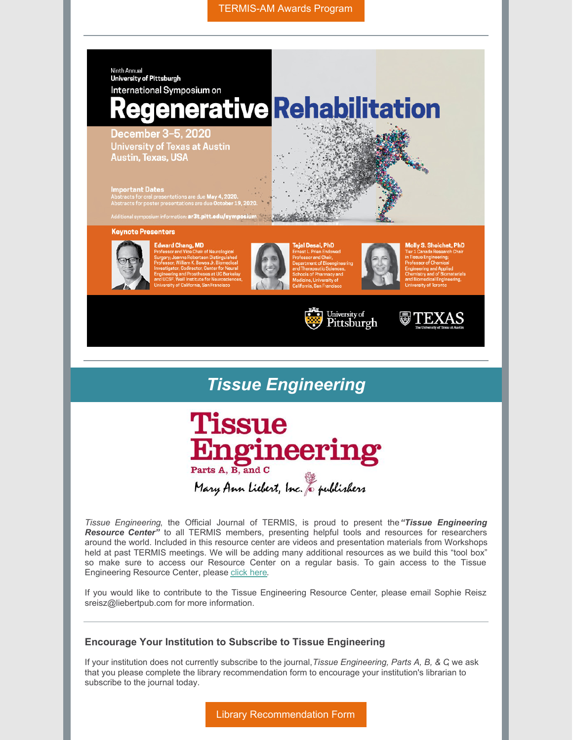[TERMIS-AM](https://www.termis.org/chapters-americas-committees-awards-program) Awards Program





*Tissue Engineering*, the Official Journal of TERMIS, is proud to present the*"Tissue Engineering Resource Center"* to all TERMIS members, presenting helpful tools and resources for researchers around the world. Included in this resource center are videos and presentation materials from Workshops held at past TERMIS meetings. We will be adding many additional resources as we build this "tool box" so make sure to access our Resource Center on a regular basis. To gain access to the Tissue Engineering Resource Center, please [click](https://home.liebertpub.com/lpages/ten-resource-center/196/) here.

If you would like to contribute to the Tissue Engineering Resource Center, please email Sophie Reisz sreisz@liebertpub.com for more information.

#### **Encourage Your Institution to Subscribe to Tissue Engineering**

If your institution does not currently subscribe to the journal,*Tissue Engineering, Parts A, B, & C*, we ask that you please complete the library recommendation form to encourage your institution's librarian to subscribe to the journal today.

Library [Recommendation](https://home.liebertpub.com/publications/tissue-engineering-parts-a-b-and-c/595/recommend) Form